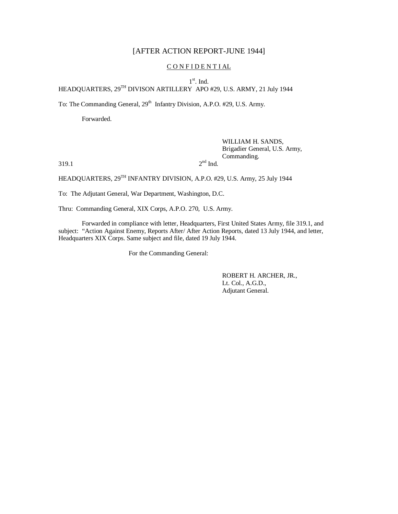# [AFTER ACTION REPORT-JUNE 1944]

## CONFIDENTIAL

1<sup>st</sup>. Ind.

HEADQUARTERS,  $29^{TH}$  DIVISON ARTILLERY APO #29, U.S. ARMY, 21 July 1944

To: The Commanding General, 29<sup>th</sup> Infantry Division, A.P.O. #29, U.S. Army.

Forwarded.

# WILLIAM H. SANDS, Brigadier General, U.S. Army, Commanding.

 $319.1$  2

 $2<sup>nd</sup>$  Ind.

HEADQUARTERS,  $29^{TH}$  INFANTRY DIVISION, A.P.O. #29, U.S. Army, 25 July 1944

To: The Adjutant General, War Department, Washington, D.C.

Thru: Commanding General, XIX Corps, A.P.O. 270, U.S. Army.

Forwarded in compliance with letter, Headquarters, First United States Army, file 319.1, and subject: "Action Against Enemy, Reports After/ After Action Reports, dated 13 July 1944, and letter, Headquarters XIX Corps. Same subject and file, dated 19 July 1944.

For the Commanding General:

ROBERT H. ARCHER, JR., Lt. Col., A.G.D., Adjutant General.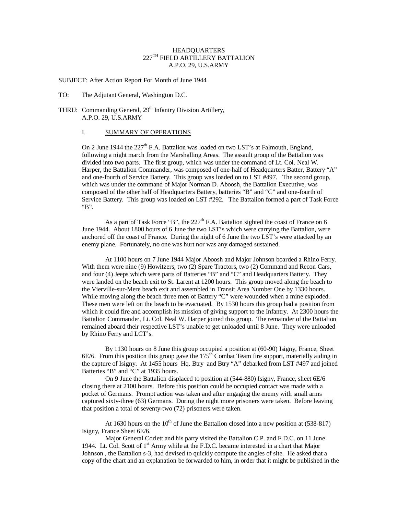## HEADQUARTERS 227TH FIELD ARTILLERY BATTALION A.P.O. 29, U.S.ARMY

SUBJECT: After Action Report For Month of June 1944

TO: The Adjutant General, Washington D.C.

## THRU: Commanding General, 29<sup>th</sup> Infantry Division Artillery, A.P.O. 29, U.S.ARMY

### I. SUMMARY OF OPERATIONS

On 2 June 1944 the 227<sup>th</sup> F.A. Battalion was loaded on two LST's at Falmouth, England, following a night march from the Marshalling Areas. The assault group of the Battalion was divided into two parts. The first group, which was under the command of Lt. Col. Neal W. Harper, the Battalion Commander, was composed of one-half of Headquarters Batter, Battery "A" and one-fourth of Service Battery. This group was loaded on to LST #497. The second group, which was under the command of Major Norman D. Aboosh, the Battalion Executive, was composed of the other half of Headquarters Battery, batteries "B" and "C" and one-fourth of Service Battery. This group was loaded on LST #292. The Battalion formed a part of Task Force "B".

As a part of Task Force "B", the  $227<sup>th</sup>$  F.A. Battalion sighted the coast of France on 6 June 1944. About 1800 hours of 6 June the two LST's which were carrying the Battalion, were anchored off the coast of France. During the night of 6 June the two LST's were attacked by an enemy plane. Fortunately, no one was hurt nor was any damaged sustained.

At 1100 hours on 7 June 1944 Major Aboosh and Major Johnson boarded a Rhino Ferry. With them were nine (9) Howitzers, two (2) Spare Tractors, two (2) Command and Recon Cars, and four (4) Jeeps which were parts of Batteries "B" and "C" and Headquarters Battery. They were landed on the beach exit to St. Larent at 1200 hours. This group moved along the beach to the Vierville-sur-Mere beach exit and assembled in Transit Area Number One by 1330 hours. While moving along the beach three men of Battery "C" were wounded when a mine exploded. These men were left on the beach to be evacuated. By 1530 hours this group had a position from which it could fire and accomplish its mission of giving support to the Infantry. At 2300 hours the Battalion Commander, Lt. Col. Neal W. Harper joined this group. The remainder of the Battalion remained aboard their respective LST's unable to get unloaded until 8 June. They were unloaded by Rhino Ferry and LCT's.

By 1130 hours on 8 June this group occupied a position at (60-90) Isigny, France, Sheet 6E/6. From this position this group gave the  $175<sup>th</sup>$  Combat Team fire support, materially aiding in the capture of Isigny. At 1455 hours Hq. Btry and Btry "A" debarked from LST #497 and joined Batteries "B" and "C" at 1935 hours.

On 9 June the Battalion displaced to position at (544-880) Isigny, France, sheet 6E/6 closing there at 2100 hours. Before this position could be occupied contact was made with a pocket of Germans. Prompt action was taken and after engaging the enemy with small arms captured sixty-three (63) Germans. During the night more prisoners were taken. Before leaving that position a total of seventy-two (72) prisoners were taken.

At 1630 hours on the  $10^{th}$  of June the Battalion closed into a new position at (538-817) Isigny, France Sheet 6E/6.

Major General Corlett and his party visited the Battalion C.P. and F.D.C. on 11 June 1944. Lt. Col. Scott of  $1<sup>st</sup>$  Army while at the F.D.C. became interested in a chart that Major Johnson , the Battalion s-3, had devised to quickly compute the angles of site. He asked that a copy of the chart and an explanation be forwarded to him, in order that it might be published in the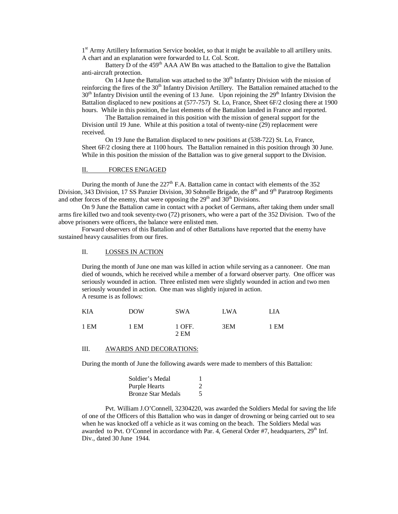1<sup>st</sup> Army Artillery Information Service booklet, so that it might be available to all artillery units. A chart and an explanation were forwarded to Lt. Col. Scott.

Battery  $\overrightarrow{D}$  of the 459<sup>th</sup> AAA AW Bn was attached to the Battalion to give the Battalion anti-aircraft protection.

On 14 June the Battalion was attached to the  $30<sup>th</sup>$  Infantry Division with the mission of reinforcing the fires of the 30<sup>th</sup> Infantry Division Artillery. The Battalion remained attached to the  $30<sup>th</sup>$  Infantry Division until the evening of 13 June. Upon rejoining the  $29<sup>th</sup>$  Infantry Division the Battalion displaced to new positions at (577-757) St. Lo, France, Sheet 6F/2 closing there at 1900 hours. While in this position, the last elements of the Battalion landed in France and reported.

The Battalion remained in this position with the mission of general support for the Division until 19 June. While at this position a total of twenty-nine (29) replacement were received.

On 19 June the Battalion displaced to new positions at (538-722) St. Lo, France, Sheet 6F/2 closing there at 1100 hours. The Battalion remained in this position through 30 June. While in this position the mission of the Battalion was to give general support to the Division.

#### II. FORCES ENGAGED

During the month of June the  $227<sup>th</sup>$  F.A. Battalion came in contact with elements of the 352 Division, 343 Division, 17 SS Panzier Division, 30 Sohnelle Brigade, the 8<sup>th</sup> and 9<sup>th</sup> Paratroop Regiments and other forces of the enemy, that were opposing the  $29<sup>th</sup>$  and  $30<sup>th</sup>$  Divisions.

On 9 June the Battalion came in contact with a pocket of Germans, after taking them under small arms fire killed two and took seventy-two (72) prisoners, who were a part of the 352 Division. Two of the above prisoners were officers, the balance were enlisted men.

Forward observers of this Battalion and of other Battalions have reported that the enemy have sustained heavy causalities from our fires.

#### II. LOSSES IN ACTION

During the month of June one man was killed in action while serving as a cannoneer. One man died of wounds, which he received while a member of a forward observer party. One officer was seriously wounded in action. Three enlisted men were slightly wounded in action and two men seriously wounded in action. One man was slightly injured in action. A resume is as follows:

| KIA  | <b>DOW</b> | <b>SWA</b>     | LWA | LIA  |
|------|------------|----------------|-----|------|
| 1 EM | 1 EM       | 1 OFF.<br>2 EM | 3EM | 1 EM |

#### III. AWARDS AND DECORATIONS:

During the month of June the following awards were made to members of this Battalion:

| Soldier's Medal           |   |
|---------------------------|---|
| Purple Hearts             | 2 |
| <b>Bronze Star Medals</b> |   |

Pvt. William J.O'Connell, 32304220, was awarded the Soldiers Medal for saving the life of one of the Officers of this Battalion who was in danger of drowning or being carried out to sea when he was knocked off a vehicle as it was coming on the beach. The Soldiers Medal was awarded to Pvt. O'Connel in accordance with Par. 4, General Order #7, headquarters,  $29<sup>th</sup>$  Inf. Div., dated 30 June 1944.